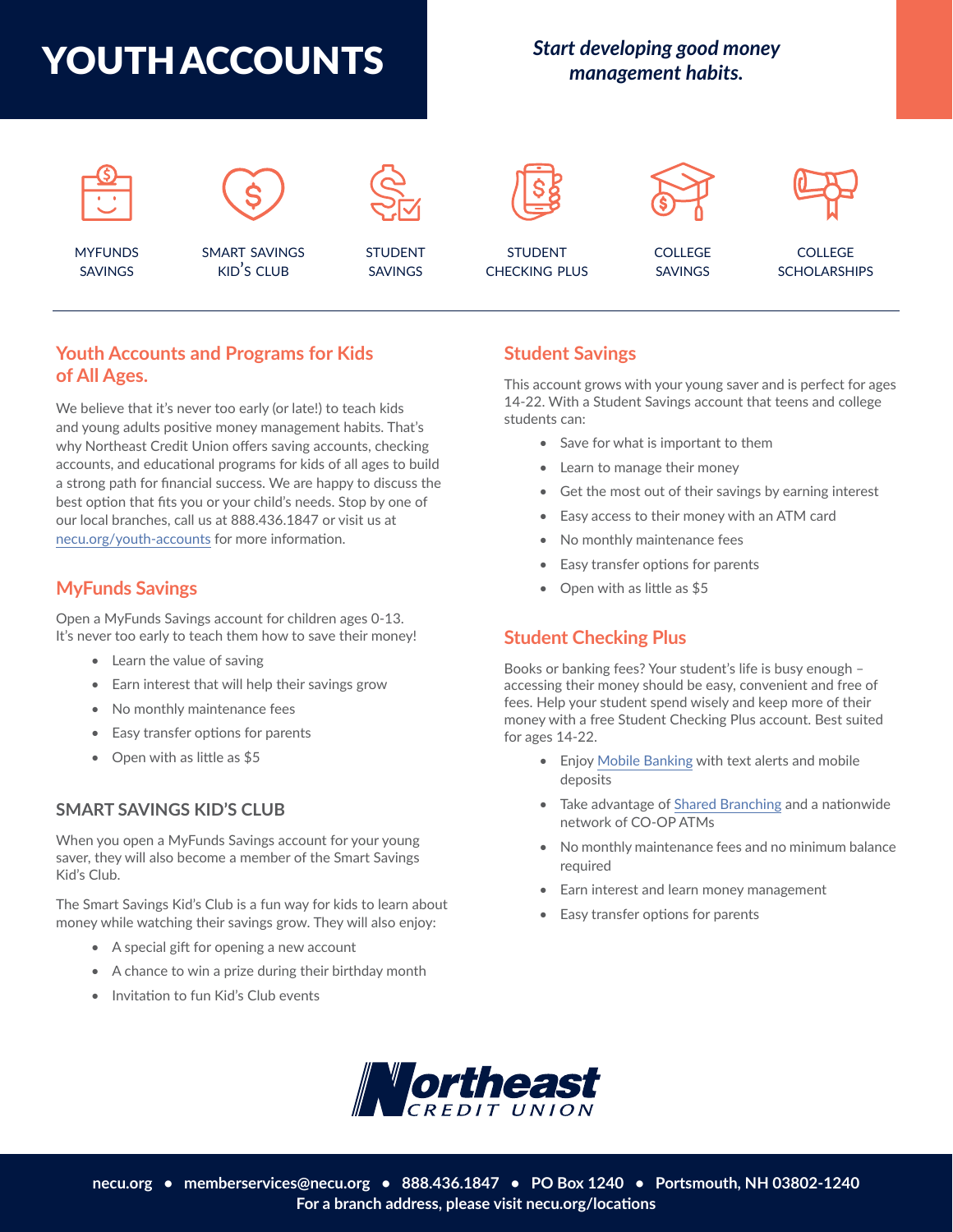

# *Start developing good money management habits.*



# **[Youth Accounts and Programs for Kids](https://necu.org/personal/youth-accounts/) [of All Ages.](https://necu.org/personal/youth-accounts/)**

We believe that it's never too early (or late!) to teach kids and young adults positive money management habits. That's why Northeast Credit Union offers saving accounts, checking accounts, and educational programs for kids of all ages to build a strong path for financial success. We are happy to discuss the best option that fits you or your child's needs. Stop by one of our local branches, call us at 888.436.1847 or visit us at [necu.org/youth-accounts](https://necu.org/youth-savings) for more information.

# **[MyFunds Savings](https://necu.org/personal/youth-accounts/myfunds-savings/)**

Open a MyFunds Savings account for children ages 0-13. It's never too early to teach them how to save their money!

- Learn the value of saving
- Earn interest that will help their savings grow
- No monthly maintenance fees
- Easy transfer options for parents
- Open with as little as \$5

#### **[SMART SAVINGS KID'S CLUB](https://necu.org/personal/youth-accounts/kids-club/)**

When you open a MyFunds Savings account for your young saver, they will also become a member of the Smart Savings Kid's Club.

The Smart Savings Kid's Club is a fun way for kids to learn about money while watching their savings grow. They will also enjoy:

- A special gift for opening a new account
- A chance to win a prize during their birthday month
- Invitation to fun Kid's Club events

#### **[Student Savings](https://necu.org/personal/youth-accounts/student-savings/)**

This account grows with your young saver and is perfect for ages 14-22. With a Student Savings account that teens and college students can:

- Save for what is important to them
- Learn to manage their money
- Get the most out of their savings by earning interest
- Easy access to their money with an ATM card
- No monthly maintenance fees
- Easy transfer options for parents
- Open with as little as \$5

## **[Student Checking Plus](https://necu.org/personal/youth-accounts/student-checking-plus/)**

Books or banking fees? Your student's life is busy enough – accessing their money should be easy, convenient and free of fees. Help your student spend wisely and keep more of their money with a free Student Checking Plus account. Best suited for ages 14-22.

- Enjoy [Mobile Banking](https://necu.org/mobile-banking) with text alerts and mobile deposits
- Take advantage of [Shared Branching](https://necu.org/shared-branches) and a nationwide network of CO-OP ATMs
- No monthly maintenance fees and no minimum balance required
- Earn interest and learn money management
- Easy transfer options for parents